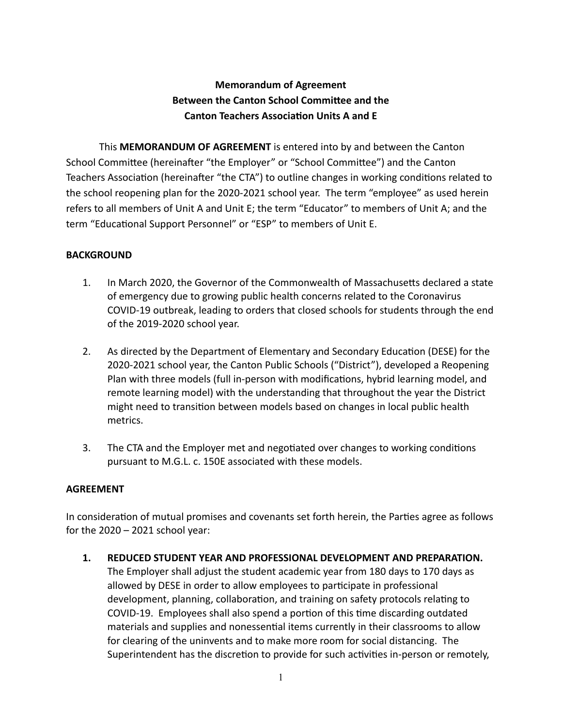## **Memorandum of Agreement Between the Canton School Committee and the Canton Teachers Association Units A and E**

This **MEMORANDUM OF AGREEMENT** is entered into by and between the Canton School Committee (hereinafter "the Employer" or "School Committee") and the Canton Teachers Association (hereinafter "the CTA") to outline changes in working conditions related to the school reopening plan for the 2020-2021 school year. The term "employee" as used herein refers to all members of Unit A and Unit E; the term "Educator" to members of Unit A; and the term "Educational Support Personnel" or "ESP" to members of Unit E.

## **BACKGROUND**

- 1. In March 2020, the Governor of the Commonwealth of Massachusetts declared a state of emergency due to growing public health concerns related to the Coronavirus COVID-19 outbreak, leading to orders that closed schools for students through the end of the 2019-2020 school year.
- 2. As directed by the Department of Elementary and Secondary Education (DESE) for the 2020-2021 school year, the Canton Public Schools ("District"), developed a Reopening Plan with three models (full in-person with modifications, hybrid learning model, and remote learning model) with the understanding that throughout the year the District might need to transition between models based on changes in local public health metrics.
- 3. The CTA and the Employer met and negotiated over changes to working conditions pursuant to M.G.L. c. 150E associated with these models.

## **AGREEMENT**

In consideration of mutual promises and covenants set forth herein, the Parties agree as follows for the  $2020 - 2021$  school year:

**1. REDUCED STUDENT YEAR AND PROFESSIONAL DEVELOPMENT AND PREPARATION.**  The Employer shall adjust the student academic year from 180 days to 170 days as allowed by DESE in order to allow employees to participate in professional development, planning, collaboration, and training on safety protocols relating to COVID-19. Employees shall also spend a portion of this time discarding outdated materials and supplies and nonessential items currently in their classrooms to allow for clearing of the uninvents and to make more room for social distancing. The Superintendent has the discretion to provide for such activities in-person or remotely,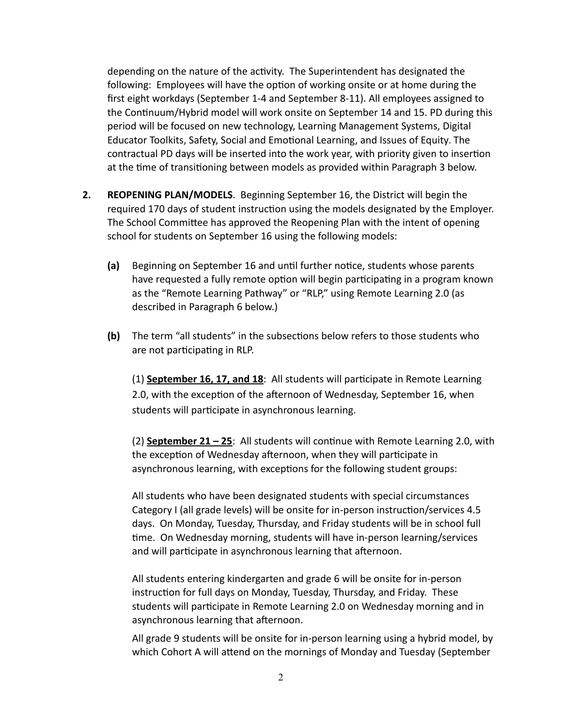depending on the nature of the activity. The Superintendent has designated the following: Employees will have the option of working onsite or at home during the first eight workdays (September 1-4 and September 8-11). All employees assigned to the Continuum/Hybrid model will work onsite on September 14 and 15. PD during this period will be focused on new technology, Learning Management Systems, Digital Educator Toolkits, Safety, Social and Emotional Learning, and Issues of Equity. The contractual PD days will be inserted into the work year, with priority given to insertion at the time of transitioning between models as provided within Paragraph 3 below.

- **2. REOPENING PLAN/MODELS**. Beginning September 16, the District will begin the required 170 days of student instruction using the models designated by the Employer. The School Committee has approved the Reopening Plan with the intent of opening school for students on September 16 using the following models:
	- **(a)** Beginning on September 16 and until further notice, students whose parents have requested a fully remote option will begin participating in a program known as the "Remote Learning Pathway" or "RLP," using Remote Learning 2.0 (as described in Paragraph 6 below.)
	- **(b)** The term "all students" in the subsections below refers to those students who are not participating in RLP.

(1) **September 16, 17, and 18**: All students will participate in Remote Learning 2.0, with the exception of the afternoon of Wednesday, September 16, when students will participate in asynchronous learning.

 $(2)$  **September 21 – 25**: All students will continue with Remote Learning 2.0, with the exception of Wednesday afternoon, when they will participate in asynchronous learning, with exceptions for the following student groups:

All students who have been designated students with special circumstances Category I (all grade levels) will be onsite for in-person instruction/services 4.5 days. On Monday, Tuesday, Thursday, and Friday students will be in school full time. On Wednesday morning, students will have in-person learning/services and will participate in asynchronous learning that afternoon.

All students entering kindergarten and grade 6 will be onsite for in-person instruction for full days on Monday, Tuesday, Thursday, and Friday. These students will participate in Remote Learning 2.0 on Wednesday morning and in asynchronous learning that afternoon.

All grade 9 students will be onsite for in-person learning using a hybrid model, by which Cohort A will attend on the mornings of Monday and Tuesday (September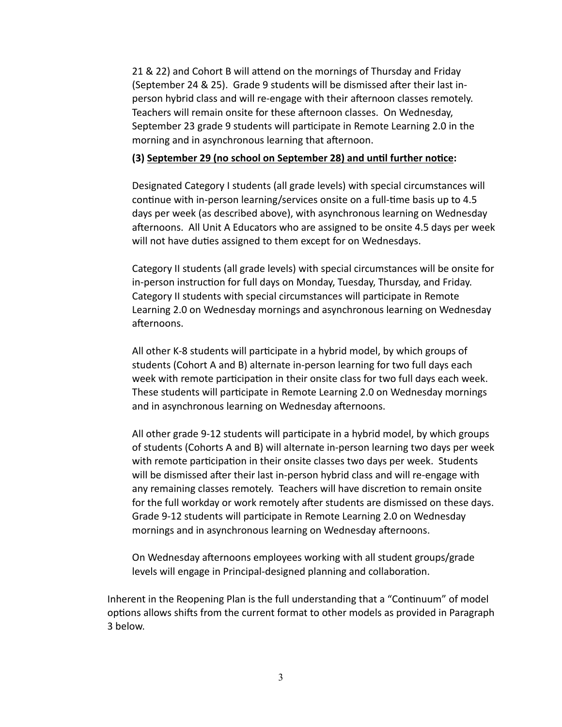21 & 22) and Cohort B will attend on the mornings of Thursday and Friday (September 24 & 25). Grade 9 students will be dismissed after their last inperson hybrid class and will re-engage with their afternoon classes remotely. Teachers will remain onsite for these afternoon classes. On Wednesday, September 23 grade 9 students will participate in Remote Learning 2.0 in the morning and in asynchronous learning that afternoon.

## (3) September 29 (no school on September 28) and until further notice:

Designated Category I students (all grade levels) with special circumstances will continue with in-person learning/services onsite on a full-time basis up to 4.5 days per week (as described above), with asynchronous learning on Wednesday afternoons. All Unit A Educators who are assigned to be onsite 4.5 days per week will not have duties assigned to them except for on Wednesdays.

Category II students (all grade levels) with special circumstances will be onsite for in-person instruction for full days on Monday, Tuesday, Thursday, and Friday. Category II students with special circumstances will participate in Remote Learning 2.0 on Wednesday mornings and asynchronous learning on Wednesday afternoons.

All other K-8 students will participate in a hybrid model, by which groups of students (Cohort A and B) alternate in-person learning for two full days each week with remote participation in their onsite class for two full days each week. These students will participate in Remote Learning 2.0 on Wednesday mornings and in asynchronous learning on Wednesday afternoons.

All other grade 9-12 students will participate in a hybrid model, by which groups of students (Cohorts A and B) will alternate in-person learning two days per week with remote participation in their onsite classes two days per week. Students will be dismissed after their last in-person hybrid class and will re-engage with any remaining classes remotely. Teachers will have discretion to remain onsite for the full workday or work remotely after students are dismissed on these days. Grade 9-12 students will participate in Remote Learning 2.0 on Wednesday mornings and in asynchronous learning on Wednesday afternoons.

On Wednesday afternoons employees working with all student groups/grade levels will engage in Principal-designed planning and collaboration.

Inherent in the Reopening Plan is the full understanding that a "Continuum" of model options allows shifts from the current format to other models as provided in Paragraph 3 below.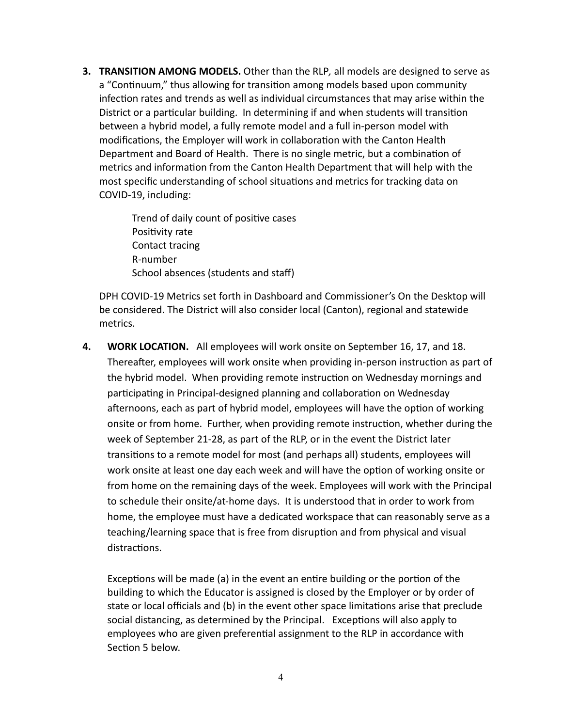**3. TRANSITION AMONG MODELS.** Other than the RLP*,* all models are designed to serve as a "Continuum," thus allowing for transition among models based upon community infection rates and trends as well as individual circumstances that may arise within the District or a particular building. In determining if and when students will transition between a hybrid model, a fully remote model and a full in-person model with modifications, the Employer will work in collaboration with the Canton Health Department and Board of Health. There is no single metric, but a combination of metrics and information from the Canton Health Department that will help with the most specific understanding of school situations and metrics for tracking data on COVID-19, including:

> Trend of daily count of positive cases Positivity rate Contact tracing R-number School absences (students and staff)

DPH COVID-19 Metrics set forth in [Dashboard](https://drive.google.com/file/d/1B9iOxkn2be05UlZzlpg2XfKJqKF0eL86/view) and [Commissioner's On the Desktop](https://docs.google.com/document/d/1V7pXMIfIs8IVLDgbxfEVs1eBzgjDz9NbEFM3v3tWgTs/edit?usp=sharing) will be considered. The District will also consider local (Canton), regional and statewide metrics.

**4. WORK LOCATION.** All employees will work onsite on September 16, 17, and 18. Thereafter, employees will work onsite when providing in-person instruction as part of the hybrid model. When providing remote instruction on Wednesday mornings and participating in Principal-designed planning and collaboration on Wednesday afternoons, each as part of hybrid model, employees will have the option of working onsite or from home. Further, when providing remote instruction, whether during the week of September 21-28, as part of the RLP, or in the event the District later transitions to a remote model for most (and perhaps all) students, employees will work onsite at least one day each week and will have the option of working onsite or from home on the remaining days of the week. Employees will work with the Principal to schedule their onsite/at-home days. It is understood that in order to work from home, the employee must have a dedicated workspace that can reasonably serve as a teaching/learning space that is free from disruption and from physical and visual distractions.

Exceptions will be made (a) in the event an entire building or the portion of the building to which the Educator is assigned is closed by the Employer or by order of state or local officials and (b) in the event other space limitations arise that preclude social distancing, as determined by the Principal. Exceptions will also apply to employees who are given preferential assignment to the RLP in accordance with Section 5 below.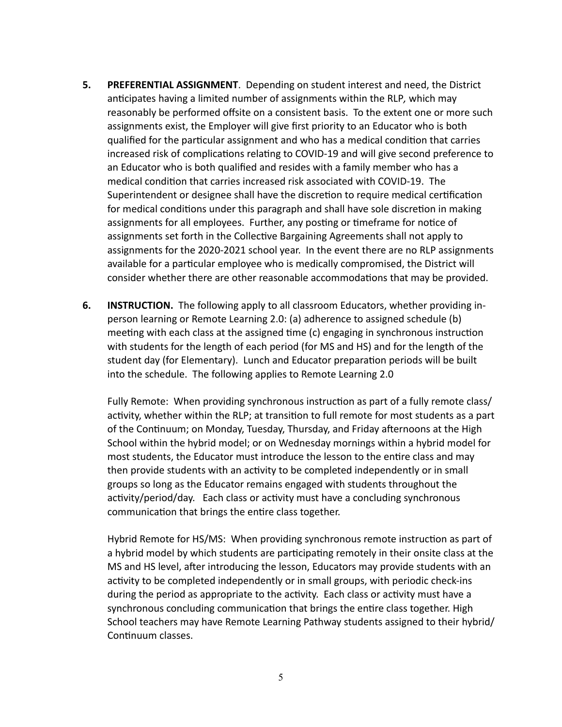- **5. PREFERENTIAL ASSIGNMENT**. Depending on student interest and need, the District anticipates having a limited number of assignments within the RLP, which may reasonably be performed offsite on a consistent basis. To the extent one or more such assignments exist, the Employer will give first priority to an Educator who is both qualified for the particular assignment and who has a medical condition that carries increased risk of complications relating to COVID-19 and will give second preference to an Educator who is both qualified and resides with a family member who has a medical condition that carries increased risk associated with COVID-19. The Superintendent or designee shall have the discretion to require medical certification for medical conditions under this paragraph and shall have sole discretion in making assignments for all employees. Further, any posting or timeframe for notice of assignments set forth in the Collective Bargaining Agreements shall not apply to assignments for the 2020-2021 school year. In the event there are no RLP assignments available for a particular employee who is medically compromised, the District will consider whether there are other reasonable accommodations that may be provided.
- **6. INSTRUCTION.** The following apply to all classroom Educators, whether providing inperson learning or Remote Learning 2.0: (a) adherence to assigned schedule (b) meeting with each class at the assigned time  $(c)$  engaging in synchronous instruction with students for the length of each period (for MS and HS) and for the length of the student day (for Elementary). Lunch and Educator preparation periods will be built into the schedule. The following applies to Remote Learning 2.0

Fully Remote: When providing synchronous instruction as part of a fully remote class/ activity, whether within the RLP; at transition to full remote for most students as a part of the Continuum; on Monday, Tuesday, Thursday, and Friday afternoons at the High School within the hybrid model; or on Wednesday mornings within a hybrid model for most students, the Educator must introduce the lesson to the entire class and may then provide students with an activity to be completed independently or in small groups so long as the Educator remains engaged with students throughout the activity/period/day. Each class or activity must have a concluding synchronous communication that brings the entire class together.

Hybrid Remote for HS/MS: When providing synchronous remote instruction as part of a hybrid model by which students are participating remotely in their onsite class at the MS and HS level, after introducing the lesson, Educators may provide students with an activity to be completed independently or in small groups, with periodic check-ins during the period as appropriate to the activity. Each class or activity must have a synchronous concluding communication that brings the entire class together. High School teachers may have Remote Learning Pathway students assigned to their hybrid/ Continuum classes.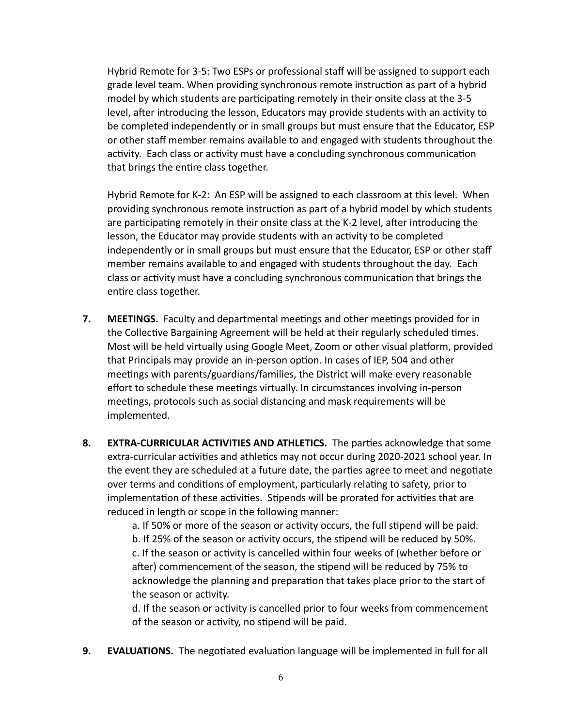Hybrid Remote for 3-5: Two ESPs or professional staff will be assigned to support each grade level team. When providing synchronous remote instruction as part of a hybrid model by which students are participating remotely in their onsite class at the 3-5 level, after introducing the lesson, Educators may provide students with an activity to be completed independently or in small groups but must ensure that the Educator, ESP or other staff member remains available to and engaged with students throughout the activity. Each class or activity must have a concluding synchronous communication that brings the entire class together.

Hybrid Remote for K-2: An ESP will be assigned to each classroom at this level. When providing synchronous remote instruction as part of a hybrid model by which students are participating remotely in their onsite class at the K-2 level, after introducing the lesson, the Educator may provide students with an activity to be completed independently or in small groups but must ensure that the Educator, ESP or other staff member remains available to and engaged with students throughout the day. Each class or activity must have a concluding synchronous communication that brings the entire class together.

- **7.** MEETINGS. Faculty and departmental meetings and other meetings provided for in the Collective Bargaining Agreement will be held at their regularly scheduled times. Most will be held virtually using Google Meet, Zoom or other visual platform, provided that Principals may provide an in-person option. In cases of IEP, 504 and other meetings with parents/guardians/families, the District will make every reasonable effort to schedule these meetings virtually. In circumstances involving in-person meetings, protocols such as social distancing and mask requirements will be implemented.
- **8. EXTRA-CURRICULAR ACTIVITIES AND ATHLETICS.** The parties acknowledge that some extra-curricular activities and athletics may not occur during 2020-2021 school year. In the event they are scheduled at a future date, the parties agree to meet and negotiate over terms and conditions of employment, particularly relating to safety, prior to implementation of these activities. Stipends will be prorated for activities that are reduced in length or scope in the following manner:

a. If 50% or more of the season or activity occurs, the full stipend will be paid. b. If 25% of the season or activity occurs, the stipend will be reduced by 50%. c. If the season or activity is cancelled within four weeks of (whether before or after) commencement of the season, the stipend will be reduced by 75% to acknowledge the planning and preparation that takes place prior to the start of the season or activity.

d. If the season or activity is cancelled prior to four weeks from commencement of the season or activity, no stipend will be paid.

**9.** EVALUATIONS. The negotiated evaluation language will be implemented in full for all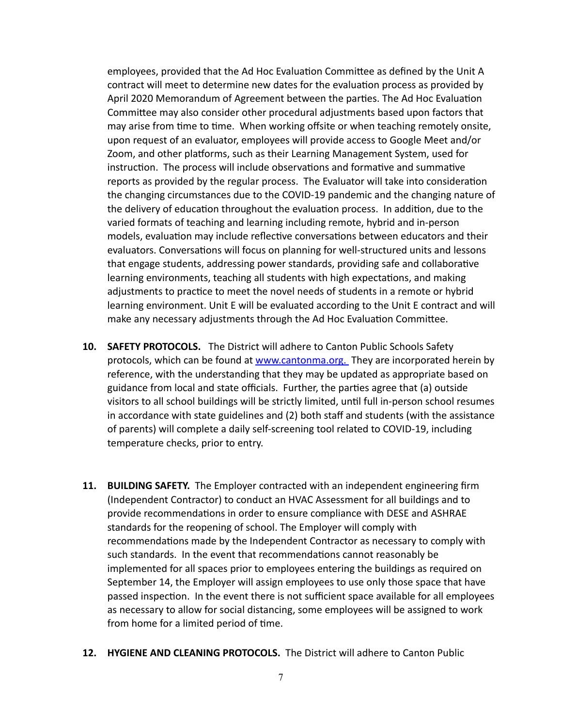employees, provided that the Ad Hoc Evaluation Committee as defined by the Unit A contract will meet to determine new dates for the evaluation process as provided by April 2020 Memorandum of Agreement between the parties. The Ad Hoc Evaluation Committee may also consider other procedural adjustments based upon factors that may arise from time to time. When working offsite or when teaching remotely onsite, upon request of an evaluator, employees will provide access to Google Meet and/or Zoom, and other platforms, such as their Learning Management System, used for instruction. The process will include observations and formative and summative reports as provided by the regular process. The Evaluator will take into consideration the changing circumstances due to the COVID-19 pandemic and the changing nature of the delivery of education throughout the evaluation process. In addition, due to the varied formats of teaching and learning including remote, hybrid and in-person models, evaluation may include reflective conversations between educators and their evaluators. Conversations will focus on planning for well-structured units and lessons that engage students, addressing power standards, providing safe and collaborative learning environments, teaching all students with high expectations, and making adjustments to practice to meet the novel needs of students in a remote or hybrid learning environment. Unit E will be evaluated according to the Unit E contract and will make any necessary adjustments through the Ad Hoc Evaluation Committee.

- **10. SAFETY PROTOCOLS.** The District will adhere to Canton Public Schools Safety protocols, which can be found at [www.cantonma.org](http://www.cantonma.org). They are incorporated herein by reference, with the understanding that they may be updated as appropriate based on guidance from local and state officials. Further, the parties agree that (a) outside visitors to all school buildings will be strictly limited, until full in-person school resumes in accordance with state guidelines and (2) both staff and students (with the assistance of parents) will complete a daily self-screening tool related to COVID-19, including temperature checks, prior to entry.
- **11. BUILDING SAFETY.** The Employer contracted with an independent engineering firm (Independent Contractor) to conduct an HVAC Assessment for all buildings and to provide recommendations in order to ensure compliance with DESE and ASHRAE standards for the reopening of school. The Employer will comply with recommendations made by the Independent Contractor as necessary to comply with such standards. In the event that recommendations cannot reasonably be implemented for all spaces prior to employees entering the buildings as required on September 14, the Employer will assign employees to use only those space that have passed inspection. In the event there is not sufficient space available for all employees as necessary to allow for social distancing, some employees will be assigned to work from home for a limited period of time.
- **12. HYGIENE AND CLEANING PROTOCOLS.** The District will adhere to Canton Public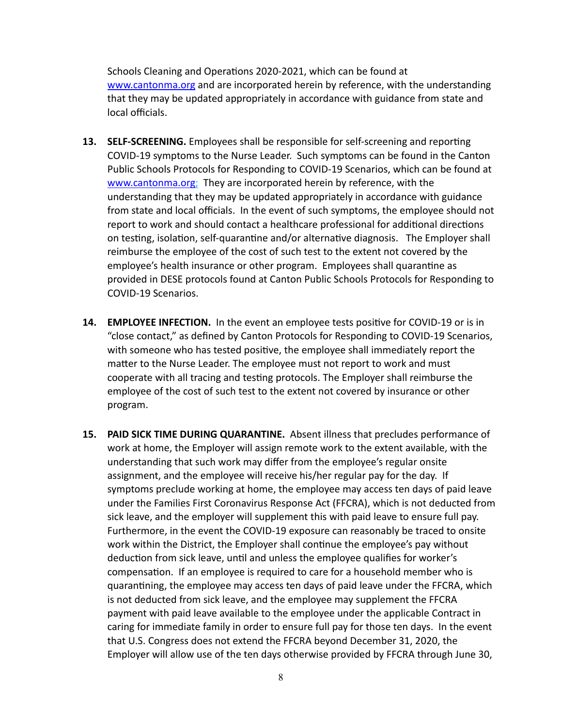Schools Cleaning and Operations 2020-2021, which can be found at [www.cantonma.org](http://www.cantonma.org) and are incorporated herein by reference, with the understanding that they may be updated appropriately in accordance with guidance from state and local officials.

- **13. SELF-SCREENING.** Employees shall be responsible for self-screening and reporting COVID-19 symptoms to the Nurse Leader. Such symptoms can be found in the Canton Public Schools Protocols for Responding to COVID-19 Scenarios, which can be found at [www.cantonma.org;](http://www.cantonma.org) They are incorporated herein by reference, with the understanding that they may be updated appropriately in accordance with guidance from state and local officials. In the event of such symptoms, the employee should not report to work and should contact a healthcare professional for additional directions on testing, isolation, self-quarantine and/or alternative diagnosis. The Employer shall reimburse the employee of the cost of such test to the extent not covered by the employee's health insurance or other program. Employees shall quarantine as provided in DESE protocols found at Canton Public Schools Protocols for Responding to COVID-19 Scenarios.
- **14. EMPLOYEE INFECTION.** In the event an employee tests positive for COVID-19 or is in "close contact," as defined by Canton Protocols for Responding to COVID-19 Scenarios, with someone who has tested positive, the employee shall immediately report the matter to the Nurse Leader. The employee must not report to work and must cooperate with all tracing and testing protocols. The Employer shall reimburse the employee of the cost of such test to the extent not covered by insurance or other program.
- **15. PAID SICK TIME DURING QUARANTINE.** Absent illness that precludes performance of work at home, the Employer will assign remote work to the extent available, with the understanding that such work may differ from the employee's regular onsite assignment, and the employee will receive his/her regular pay for the day. If symptoms preclude working at home, the employee may access ten days of paid leave under the Families First Coronavirus Response Act (FFCRA), which is not deducted from sick leave, and the employer will supplement this with paid leave to ensure full pay. Furthermore, in the event the COVID-19 exposure can reasonably be traced to onsite work within the District, the Employer shall continue the employee's pay without deduction from sick leave, until and unless the employee qualifies for worker's compensation. If an employee is required to care for a household member who is quarantining, the employee may access ten days of paid leave under the FFCRA, which is not deducted from sick leave, and the employee may supplement the FFCRA payment with paid leave available to the employee under the applicable Contract in caring for immediate family in order to ensure full pay for those ten days. In the event that U.S. Congress does not extend the FFCRA beyond December 31, 2020, the Employer will allow use of the ten days otherwise provided by FFCRA through June 30,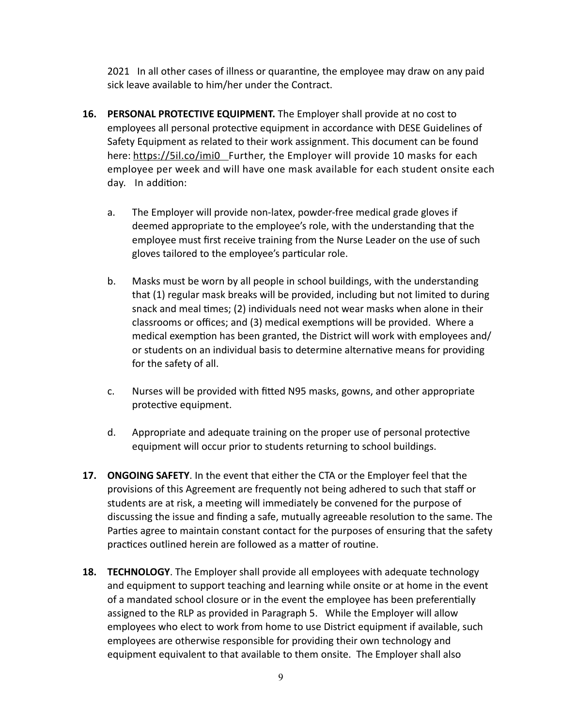2021 In all other cases of illness or quarantine, the employee may draw on any paid sick leave available to him/her under the Contract.

- **16. PERSONAL PROTECTIVE EQUIPMENT.** The Employer shall provide at no cost to employees all personal protective equipment in accordance with DESE Guidelines of Safety Equipment as related to their work assignment. This document can be found here:<https://5il.co/imi0> Further, the Employer will provide 10 masks for each employee per week and will have one mask available for each student onsite each day. In addition:
	- a. The Employer will provide non-latex, powder-free medical grade gloves if deemed appropriate to the employee's role, with the understanding that the employee must first receive training from the Nurse Leader on the use of such gloves tailored to the employee's particular role.
	- b. Masks must be worn by all people in school buildings, with the understanding that (1) regular mask breaks will be provided, including but not limited to during snack and meal times; (2) individuals need not wear masks when alone in their classrooms or offices; and (3) medical exemptions will be provided. Where a medical exemption has been granted, the District will work with employees and/ or students on an individual basis to determine alternative means for providing for the safety of all.
	- c. Nurses will be provided with fitted N95 masks, gowns, and other appropriate protective equipment.
	- d. Appropriate and adequate training on the proper use of personal protective equipment will occur prior to students returning to school buildings.
- **17. ONGOING SAFETY**. In the event that either the CTA or the Employer feel that the provisions of this Agreement are frequently not being adhered to such that staff or students are at risk, a meeting will immediately be convened for the purpose of discussing the issue and finding a safe, mutually agreeable resolution to the same. The Parties agree to maintain constant contact for the purposes of ensuring that the safety practices outlined herein are followed as a matter of routine.
- **18. TECHNOLOGY**. The Employer shall provide all employees with adequate technology and equipment to support teaching and learning while onsite or at home in the event of a mandated school closure or in the event the employee has been preferentially assigned to the RLP as provided in Paragraph 5. While the Employer will allow employees who elect to work from home to use District equipment if available, such employees are otherwise responsible for providing their own technology and equipment equivalent to that available to them onsite. The Employer shall also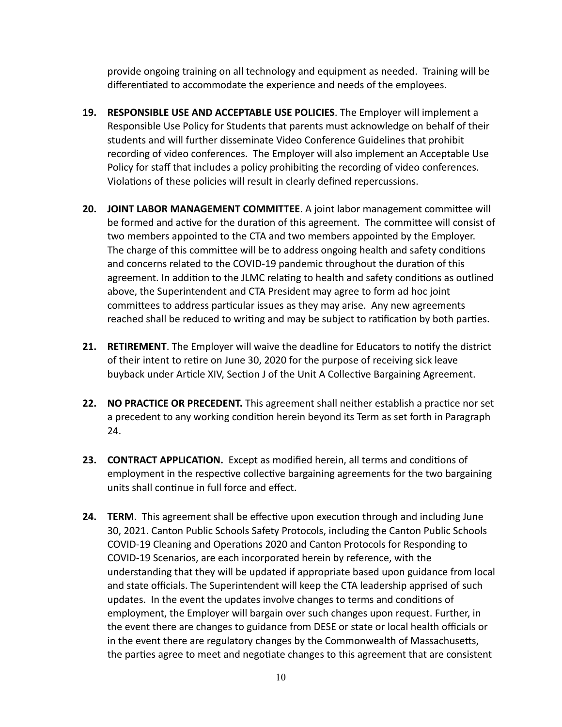provide ongoing training on all technology and equipment as needed. Training will be differentiated to accommodate the experience and needs of the employees.

- **19. RESPONSIBLE USE AND ACCEPTABLE USE POLICIES**. The Employer will implement a Responsible Use Policy for Students that parents must acknowledge on behalf of their students and will further disseminate Video Conference Guidelines that prohibit recording of video conferences. The Employer will also implement an Acceptable Use Policy for staff that includes a policy prohibiting the recording of video conferences. Violations of these policies will result in clearly defined repercussions.
- **20. JOINT LABOR MANAGEMENT COMMITTEE.** A joint labor management committee will be formed and active for the duration of this agreement. The committee will consist of two members appointed to the CTA and two members appointed by the Employer. The charge of this committee will be to address ongoing health and safety conditions and concerns related to the COVID-19 pandemic throughout the duration of this agreement. In addition to the JLMC relating to health and safety conditions as outlined above, the Superintendent and CTA President may agree to form ad hoc joint committees to address particular issues as they may arise. Any new agreements reached shall be reduced to writing and may be subject to ratification by both parties.
- **21. RETIREMENT**. The Employer will waive the deadline for Educators to notify the district of their intent to retire on June 30, 2020 for the purpose of receiving sick leave buyback under Article XIV, Section J of the Unit A Collective Bargaining Agreement.
- **22. NO PRACTICE OR PRECEDENT.** This agreement shall neither establish a practice nor set a precedent to any working condition herein beyond its Term as set forth in Paragraph 24.
- **23. CONTRACT APPLICATION.** Except as modified herein, all terms and conditions of employment in the respective collective bargaining agreements for the two bargaining units shall continue in full force and effect.
- **24. TERM**. This agreement shall be effective upon execution through and including June 30, 2021. Canton Public Schools Safety Protocols, including the Canton Public Schools COVID-19 Cleaning and Operations 2020 and Canton Protocols for Responding to COVID-19 Scenarios, are each incorporated herein by reference, with the understanding that they will be updated if appropriate based upon guidance from local and state officials. The Superintendent will keep the CTA leadership apprised of such updates. In the event the updates involve changes to terms and conditions of employment, the Employer will bargain over such changes upon request. Further, in the event there are changes to guidance from DESE or state or local health officials or in the event there are regulatory changes by the Commonwealth of Massachusetts, the parties agree to meet and negotiate changes to this agreement that are consistent